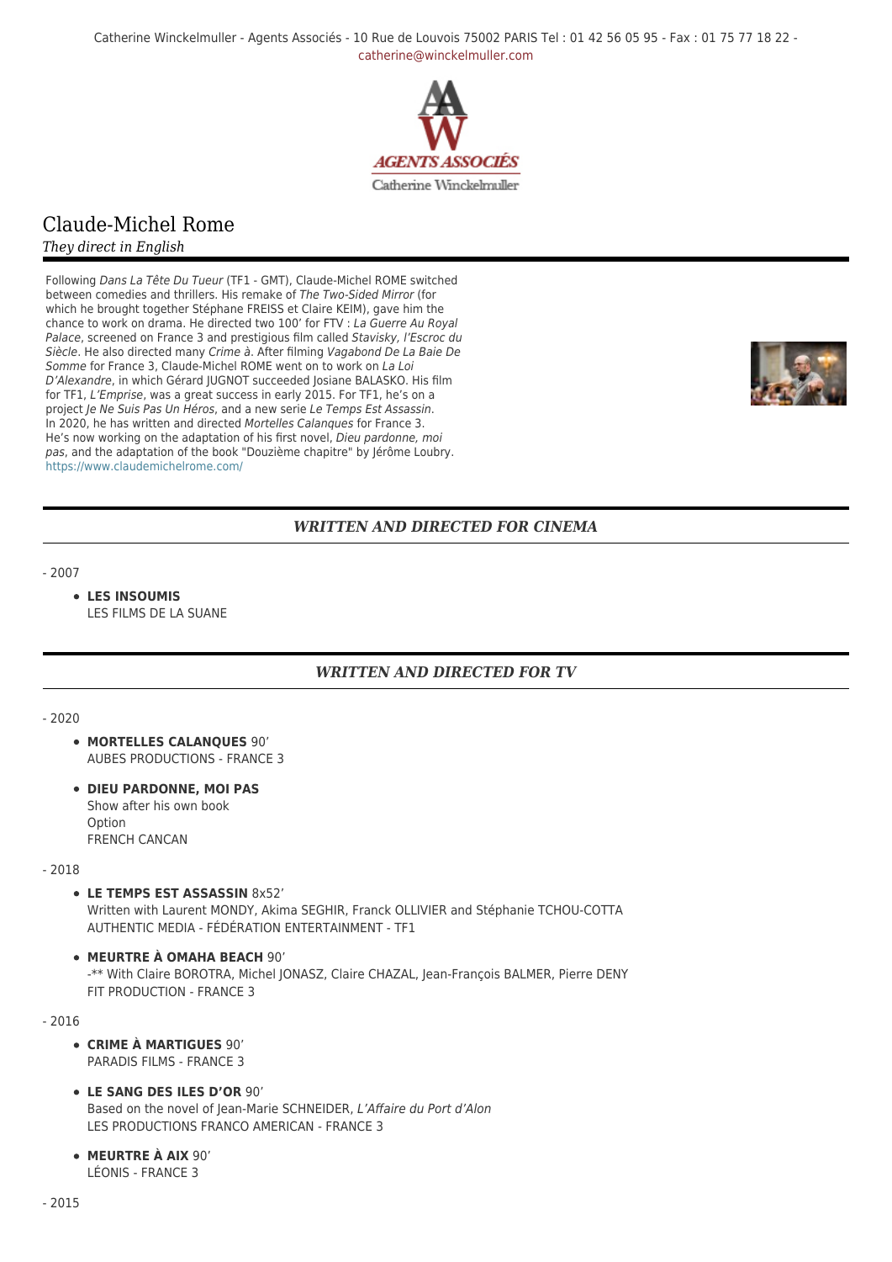Catherine Winckelmuller - Agents Associés - 10 Rue de Louvois 75002 PARIS Tel : 01 42 56 05 95 - Fax : 01 75 77 18 22 [catherine@winckelmuller.com](mailto:catherine@winckelmuller.com)



# Claude-Michel Rome

*They direct in English*

Following Dans La Tête Du Tueur (TF1 - GMT), Claude-Michel ROME switched between comedies and thrillers. His remake of The Two-Sided Mirror (for which he brought together Stéphane FREISS et Claire KEIM), gave him the chance to work on drama. He directed two 100' for FTV : La Guerre Au Royal Palace, screened on France 3 and prestigious film called Stavisky, l'Escroc du Siècle. He also directed many Crime à. After filming Vagabond De La Baie De Somme for France 3, Claude-Michel ROME went on to work on La Loi D'Alexandre, in which Gérard JUGNOT succeeded Josiane BALASKO. His film for TF1, L'Emprise, was a great success in early 2015. For TF1, he's on a project Je Ne Suis Pas Un Héros, and a new serie Le Temps Est Assassin. In 2020, he has written and directed Mortelles Calanques for France 3. He's now working on the adaptation of his first novel, Dieu pardonne, moi pas, and the adaptation of the book "Douzième chapitre" by Jérôme Loubry. <https://www.claudemichelrome.com/>



## *WRITTEN AND DIRECTED FOR CINEMA*

- 2007

#### **LES INSOUMIS** LES FILMS DE LA SUANE

## *WRITTEN AND DIRECTED FOR TV*

- 2020

- **MORTELLES CALANQUES** 90' AUBES PRODUCTIONS - FRANCE 3
- **DIEU PARDONNE, MOI PAS** Show after his own book Option FRENCH CANCAN

- 2018

**LE TEMPS EST ASSASSIN** 8x52'

Written with Laurent MONDY, Akima SEGHIR, Franck OLLIVIER and Stéphanie TCHOU-COTTA AUTHENTIC MEDIA - FÉDÉRATION ENTERTAINMENT - TF1

**MEURTRE À OMAHA BEACH** 90' -\*\* With Claire BOROTRA, Michel JONASZ, Claire CHAZAL, Jean-François BALMER, Pierre DENY

- 2016

**CRIME À MARTIGUES** 90' PARADIS FILMS - FRANCE 3

FIT PRODUCTION - FRANCE 3

- **LE SANG DES ILES D'OR** 90' Based on the novel of Jean-Marie SCHNEIDER, L'Affaire du Port d'Alon LES PRODUCTIONS FRANCO AMERICAN - FRANCE 3
- **MEURTRE À AIX** 90' LÉONIS - FRANCE 3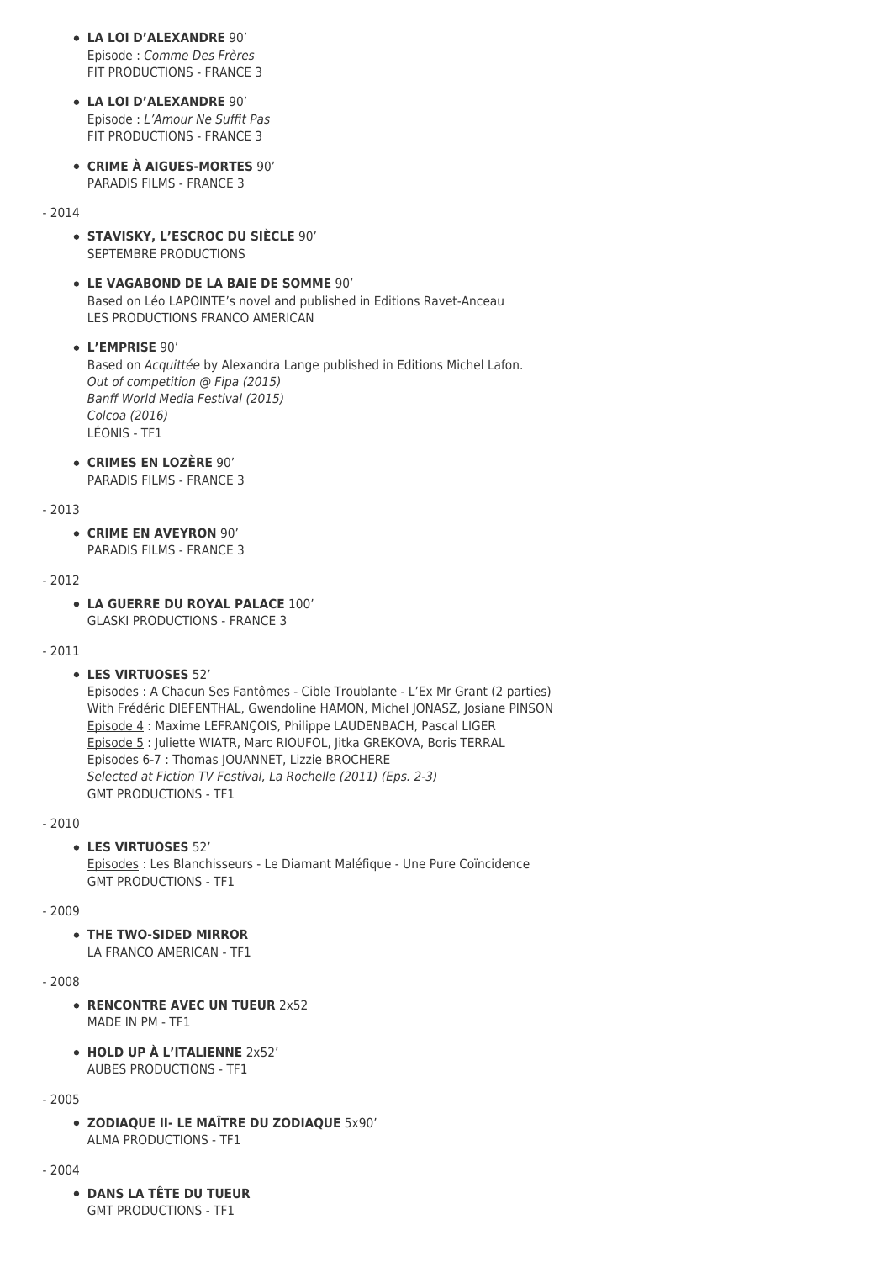- **LA LOI D'ALEXANDRE** 90' Episode : Comme Des Frères FIT PRODUCTIONS - FRANCE 3
- **LA LOI D'ALEXANDRE** 90' Episode : L'Amour Ne Suffit Pas FIT PRODUCTIONS - FRANCE 3
- **CRIME À AIGUES-MORTES** 90' PARADIS FILMS - FRANCE 3

#### - 2014

- **STAVISKY, L'ESCROC DU SIÈCLE** 90' SEPTEMBRE PRODUCTIONS
- **LE VAGABOND DE LA BAIE DE SOMME** 90' Based on Léo LAPOINTE's novel and published in Editions Ravet-Anceau LES PRODUCTIONS FRANCO AMERICAN

**L'EMPRISE** 90' Based on Acquittée by Alexandra Lange published in Editions Michel Lafon. Out of competition @ Fipa (2015) Banff World Media Festival (2015) Colcoa (2016) LÉONIS - TF1

**CRIMES EN LOZÈRE** 90' PARADIS FILMS - FRANCE 3

#### - 2013

**CRIME EN AVEYRON** 90' PARADIS FILMS - FRANCE 3

#### - 2012

**LA GUERRE DU ROYAL PALACE** 100' GLASKI PRODUCTIONS - FRANCE 3

#### - 2011

**LES VIRTUOSES** 52'

Episodes : A Chacun Ses Fantômes - Cible Troublante - L'Ex Mr Grant (2 parties) With Frédéric DIEFENTHAL, Gwendoline HAMON, Michel JONASZ, Josiane PINSON Episode 4 : Maxime LEFRANÇOIS, Philippe LAUDENBACH, Pascal LIGER Episode 5 : Juliette WIATR, Marc RIOUFOL, Jitka GREKOVA, Boris TERRAL Episodes 6-7 : Thomas JOUANNET, Lizzie BROCHERE Selected at Fiction TV Festival, La Rochelle (2011) (Eps. 2-3) GMT PRODUCTIONS - TF1

- 2010

#### **LES VIRTUOSES** 52'

Episodes : Les Blanchisseurs - Le Diamant Maléfique - Une Pure Coïncidence GMT PRODUCTIONS - TF1

#### - 2009

**THE TWO-SIDED MIRROR**

LA FRANCO AMERICAN - TF1

### - 2008

- **RENCONTRE AVEC UN TUEUR 2x52** MADE IN PM - TF1
- **HOLD UP À L'ITALIENNE** 2x52' AUBES PRODUCTIONS - TF1

#### - 2005

**ZODIAQUE II- LE MAÎTRE DU ZODIAQUE** 5x90' ALMA PRODUCTIONS - TF1

- 2004

**DANS LA TÊTE DU TUEUR** GMT PRODUCTIONS - TF1